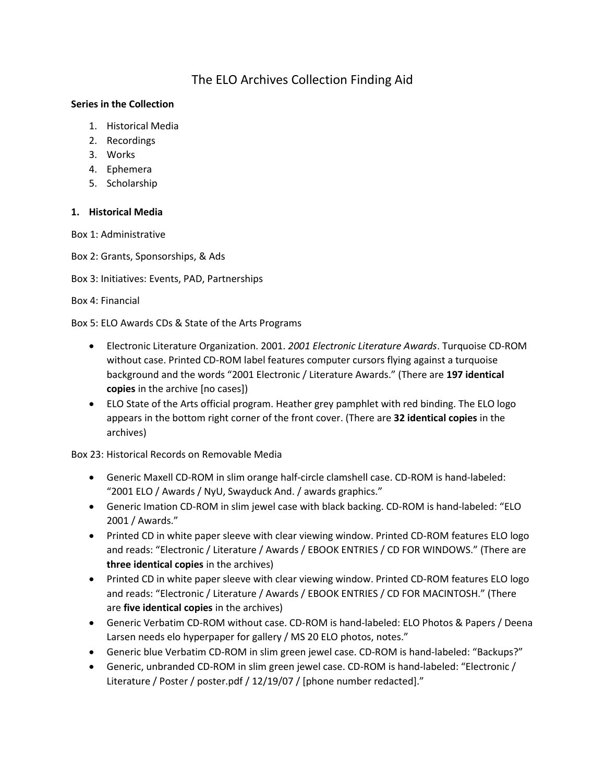# The ELO Archives Collection Finding Aid

### **Series in the Collection**

- 1. Historical Media
- 2. Recordings
- 3. Works
- 4. Ephemera
- 5. Scholarship

### **1. Historical Media**

Box 1: Administrative

- Box 2: Grants, Sponsorships, & Ads
- Box 3: Initiatives: Events, PAD, Partnerships

### Box 4: Financial

Box 5: ELO Awards CDs & State of the Arts Programs

- Electronic Literature Organization. 2001. *2001 Electronic Literature Awards*. Turquoise CD-ROM without case. Printed CD-ROM label features computer cursors flying against a turquoise background and the words "2001 Electronic / Literature Awards." (There are **197 identical copies** in the archive [no cases])
- ELO State of the Arts official program. Heather grey pamphlet with red binding. The ELO logo appears in the bottom right corner of the front cover. (There are **32 identical copies** in the archives)

Box 23: Historical Records on Removable Media

- Generic Maxell CD-ROM in slim orange half-circle clamshell case. CD-ROM is hand-labeled: "2001 ELO / Awards / NyU, Swayduck And. / awards graphics."
- Generic Imation CD-ROM in slim jewel case with black backing. CD-ROM is hand-labeled: "ELO 2001 / Awards."
- Printed CD in white paper sleeve with clear viewing window. Printed CD-ROM features ELO logo and reads: "Electronic / Literature / Awards / EBOOK ENTRIES / CD FOR WINDOWS." (There are **three identical copies** in the archives)
- Printed CD in white paper sleeve with clear viewing window. Printed CD-ROM features ELO logo and reads: "Electronic / Literature / Awards / EBOOK ENTRIES / CD FOR MACINTOSH." (There are **five identical copies** in the archives)
- Generic Verbatim CD-ROM without case. CD-ROM is hand-labeled: ELO Photos & Papers / Deena Larsen needs elo hyperpaper for gallery / MS 20 ELO photos, notes."
- Generic blue Verbatim CD-ROM in slim green jewel case. CD-ROM is hand-labeled: "Backups?"
- Generic, unbranded CD-ROM in slim green jewel case. CD-ROM is hand-labeled: "Electronic / Literature / Poster / poster.pdf / 12/19/07 / [phone number redacted]."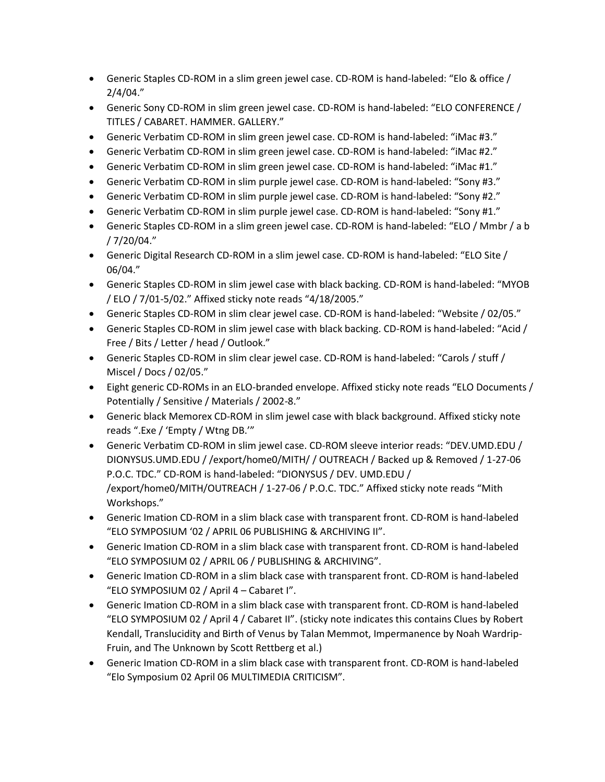- Generic Staples CD-ROM in a slim green jewel case. CD-ROM is hand-labeled: "Elo & office / 2/4/04."
- Generic Sony CD-ROM in slim green jewel case. CD-ROM is hand-labeled: "ELO CONFERENCE / TITLES / CABARET. HAMMER. GALLERY."
- Generic Verbatim CD-ROM in slim green jewel case. CD-ROM is hand-labeled: "iMac #3."
- Generic Verbatim CD-ROM in slim green jewel case. CD-ROM is hand-labeled: "iMac #2."
- Generic Verbatim CD-ROM in slim green jewel case. CD-ROM is hand-labeled: "iMac #1."
- Generic Verbatim CD-ROM in slim purple jewel case. CD-ROM is hand-labeled: "Sony #3."
- Generic Verbatim CD-ROM in slim purple jewel case. CD-ROM is hand-labeled: "Sony #2."
- Generic Verbatim CD-ROM in slim purple jewel case. CD-ROM is hand-labeled: "Sony #1."
- Generic Staples CD-ROM in a slim green jewel case. CD-ROM is hand-labeled: "ELO / Mmbr / a b / 7/20/04."
- Generic Digital Research CD-ROM in a slim jewel case. CD-ROM is hand-labeled: "ELO Site / 06/04."
- Generic Staples CD-ROM in slim jewel case with black backing. CD-ROM is hand-labeled: "MYOB / ELO / 7/01-5/02." Affixed sticky note reads "4/18/2005."
- Generic Staples CD-ROM in slim clear jewel case. CD-ROM is hand-labeled: "Website / 02/05."
- Generic Staples CD-ROM in slim jewel case with black backing. CD-ROM is hand-labeled: "Acid / Free / Bits / Letter / head / Outlook."
- Generic Staples CD-ROM in slim clear jewel case. CD-ROM is hand-labeled: "Carols / stuff / Miscel / Docs / 02/05."
- Eight generic CD-ROMs in an ELO-branded envelope. Affixed sticky note reads "ELO Documents / Potentially / Sensitive / Materials / 2002-8."
- Generic black Memorex CD-ROM in slim jewel case with black background. Affixed sticky note reads ".Exe / 'Empty / Wtng DB.'"
- Generic Verbatim CD-ROM in slim jewel case. CD-ROM sleeve interior reads: "DEV.UMD.EDU / DIONYSUS.UMD.EDU / /export/home0/MITH/ / OUTREACH / Backed up & Removed / 1-27-06 P.O.C. TDC." CD-ROM is hand-labeled: "DIONYSUS / DEV. UMD.EDU / /export/home0/MITH/OUTREACH / 1-27-06 / P.O.C. TDC." Affixed sticky note reads "Mith Workshops."
- Generic Imation CD-ROM in a slim black case with transparent front. CD-ROM is hand-labeled "ELO SYMPOSIUM '02 / APRIL 06 PUBLISHING & ARCHIVING II".
- Generic Imation CD-ROM in a slim black case with transparent front. CD-ROM is hand-labeled "ELO SYMPOSIUM 02 / APRIL 06 / PUBLISHING & ARCHIVING".
- Generic Imation CD-ROM in a slim black case with transparent front. CD-ROM is hand-labeled "ELO SYMPOSIUM 02 / April 4 – Cabaret I".
- Generic Imation CD-ROM in a slim black case with transparent front. CD-ROM is hand-labeled "ELO SYMPOSIUM 02 / April 4 / Cabaret II". (sticky note indicates this contains Clues by Robert Kendall, Translucidity and Birth of Venus by Talan Memmot, Impermanence by Noah Wardrip-Fruin, and The Unknown by Scott Rettberg et al.)
- Generic Imation CD-ROM in a slim black case with transparent front. CD-ROM is hand-labeled "Elo Symposium 02 April 06 MULTIMEDIA CRITICISM".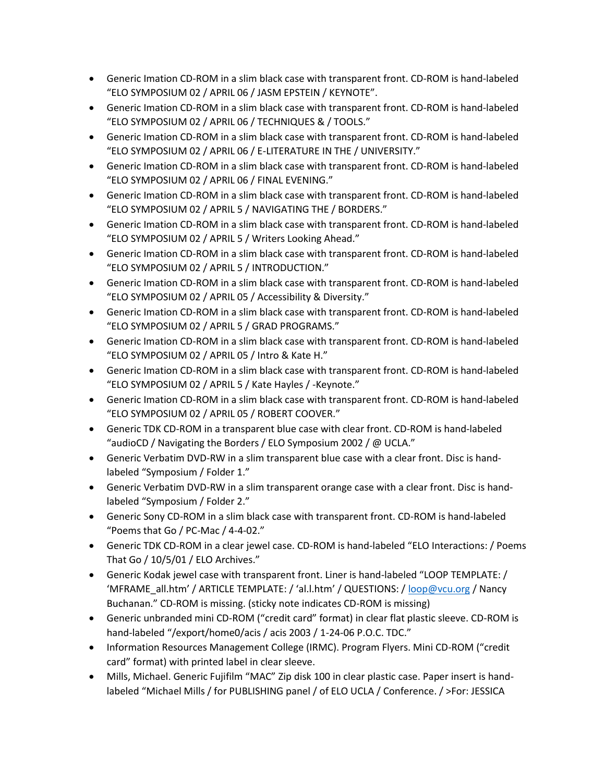- Generic Imation CD-ROM in a slim black case with transparent front. CD-ROM is hand-labeled "ELO SYMPOSIUM 02 / APRIL 06 / JASM EPSTEIN / KEYNOTE".
- Generic Imation CD-ROM in a slim black case with transparent front. CD-ROM is hand-labeled "ELO SYMPOSIUM 02 / APRIL 06 / TECHNIQUES & / TOOLS."
- Generic Imation CD-ROM in a slim black case with transparent front. CD-ROM is hand-labeled "ELO SYMPOSIUM 02 / APRIL 06 / E-LITERATURE IN THE / UNIVERSITY."
- Generic Imation CD-ROM in a slim black case with transparent front. CD-ROM is hand-labeled "ELO SYMPOSIUM 02 / APRIL 06 / FINAL EVENING."
- Generic Imation CD-ROM in a slim black case with transparent front. CD-ROM is hand-labeled "ELO SYMPOSIUM 02 / APRIL 5 / NAVIGATING THE / BORDERS."
- Generic Imation CD-ROM in a slim black case with transparent front. CD-ROM is hand-labeled "ELO SYMPOSIUM 02 / APRIL 5 / Writers Looking Ahead."
- Generic Imation CD-ROM in a slim black case with transparent front. CD-ROM is hand-labeled "ELO SYMPOSIUM 02 / APRIL 5 / INTRODUCTION."
- Generic Imation CD-ROM in a slim black case with transparent front. CD-ROM is hand-labeled "ELO SYMPOSIUM 02 / APRIL 05 / Accessibility & Diversity."
- Generic Imation CD-ROM in a slim black case with transparent front. CD-ROM is hand-labeled "ELO SYMPOSIUM 02 / APRIL 5 / GRAD PROGRAMS."
- Generic Imation CD-ROM in a slim black case with transparent front. CD-ROM is hand-labeled "ELO SYMPOSIUM 02 / APRIL 05 / Intro & Kate H."
- Generic Imation CD-ROM in a slim black case with transparent front. CD-ROM is hand-labeled "ELO SYMPOSIUM 02 / APRIL 5 / Kate Hayles / -Keynote."
- Generic Imation CD-ROM in a slim black case with transparent front. CD-ROM is hand-labeled "ELO SYMPOSIUM 02 / APRIL 05 / ROBERT COOVER."
- Generic TDK CD-ROM in a transparent blue case with clear front. CD-ROM is hand-labeled "audioCD / Navigating the Borders / ELO Symposium 2002 / @ UCLA."
- Generic Verbatim DVD-RW in a slim transparent blue case with a clear front. Disc is handlabeled "Symposium / Folder 1."
- Generic Verbatim DVD-RW in a slim transparent orange case with a clear front. Disc is handlabeled "Symposium / Folder 2."
- Generic Sony CD-ROM in a slim black case with transparent front. CD-ROM is hand-labeled "Poems that Go / PC-Mac / 4-4-02."
- Generic TDK CD-ROM in a clear jewel case. CD-ROM is hand-labeled "ELO Interactions: / Poems That Go / 10/5/01 / ELO Archives."
- Generic Kodak jewel case with transparent front. Liner is hand-labeled "LOOP TEMPLATE: / 'MFRAME\_all.htm' / ARTICLE TEMPLATE: / 'al.l.htm' / QUESTIONS: / [loop@vcu.org](mailto:loop@vcu.org) / Nancy Buchanan." CD-ROM is missing. (sticky note indicates CD-ROM is missing)
- Generic unbranded mini CD-ROM ("credit card" format) in clear flat plastic sleeve. CD-ROM is hand-labeled "/export/home0/acis / acis 2003 / 1-24-06 P.O.C. TDC."
- Information Resources Management College (IRMC). Program Flyers. Mini CD-ROM ("credit card" format) with printed label in clear sleeve.
- Mills, Michael. Generic Fujifilm "MAC" Zip disk 100 in clear plastic case. Paper insert is handlabeled "Michael Mills / for PUBLISHING panel / of ELO UCLA / Conference. / >For: JESSICA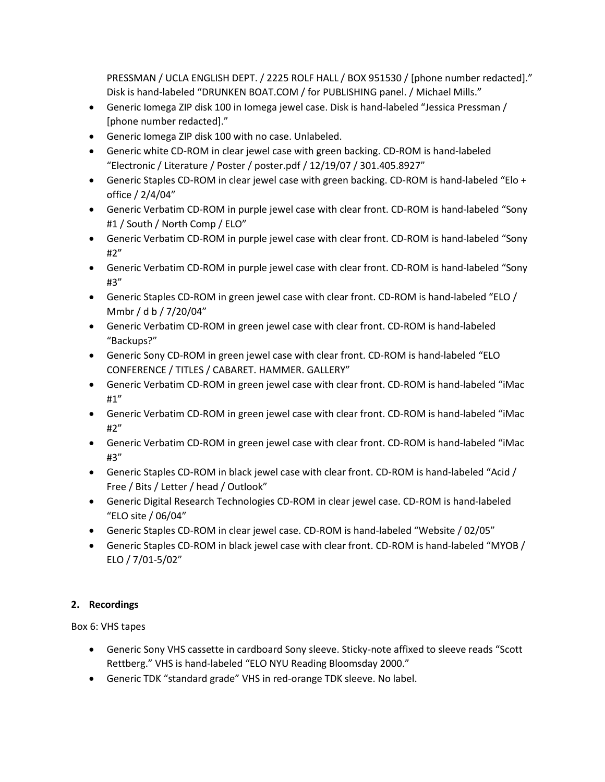PRESSMAN / UCLA ENGLISH DEPT. / 2225 ROLF HALL / BOX 951530 / [phone number redacted]." Disk is hand-labeled "DRUNKEN BOAT.COM / for PUBLISHING panel. / Michael Mills."

- Generic Iomega ZIP disk 100 in Iomega jewel case. Disk is hand-labeled "Jessica Pressman / [phone number redacted]."
- Generic Iomega ZIP disk 100 with no case. Unlabeled.
- Generic white CD-ROM in clear jewel case with green backing. CD-ROM is hand-labeled "Electronic / Literature / Poster / poster.pdf / 12/19/07 / 301.405.8927"
- Generic Staples CD-ROM in clear jewel case with green backing. CD-ROM is hand-labeled "Elo + office / 2/4/04"
- Generic Verbatim CD-ROM in purple jewel case with clear front. CD-ROM is hand-labeled "Sony #1 / South / North Comp / ELO"
- Generic Verbatim CD-ROM in purple jewel case with clear front. CD-ROM is hand-labeled "Sony #2"
- Generic Verbatim CD-ROM in purple jewel case with clear front. CD-ROM is hand-labeled "Sony #3"
- Generic Staples CD-ROM in green jewel case with clear front. CD-ROM is hand-labeled "ELO / Mmbr / d b / 7/20/04"
- Generic Verbatim CD-ROM in green jewel case with clear front. CD-ROM is hand-labeled "Backups?"
- Generic Sony CD-ROM in green jewel case with clear front. CD-ROM is hand-labeled "ELO CONFERENCE / TITLES / CABARET. HAMMER. GALLERY"
- Generic Verbatim CD-ROM in green jewel case with clear front. CD-ROM is hand-labeled "iMac #1"
- Generic Verbatim CD-ROM in green jewel case with clear front. CD-ROM is hand-labeled "iMac #2"
- Generic Verbatim CD-ROM in green jewel case with clear front. CD-ROM is hand-labeled "iMac #3"
- Generic Staples CD-ROM in black jewel case with clear front. CD-ROM is hand-labeled "Acid / Free / Bits / Letter / head / Outlook"
- Generic Digital Research Technologies CD-ROM in clear jewel case. CD-ROM is hand-labeled "ELO site / 06/04"
- Generic Staples CD-ROM in clear jewel case. CD-ROM is hand-labeled "Website / 02/05"
- Generic Staples CD-ROM in black jewel case with clear front. CD-ROM is hand-labeled "MYOB / ELO / 7/01-5/02"

# **2. Recordings**

Box 6: VHS tapes

- Generic Sony VHS cassette in cardboard Sony sleeve. Sticky-note affixed to sleeve reads "Scott Rettberg." VHS is hand-labeled "ELO NYU Reading Bloomsday 2000."
- Generic TDK "standard grade" VHS in red-orange TDK sleeve. No label.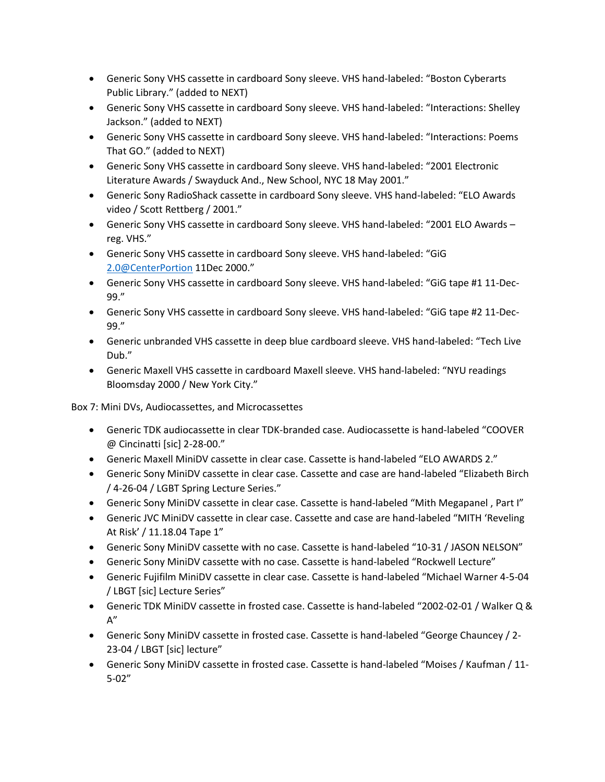- Generic Sony VHS cassette in cardboard Sony sleeve. VHS hand-labeled: "Boston Cyberarts Public Library." (added to NEXT)
- Generic Sony VHS cassette in cardboard Sony sleeve. VHS hand-labeled: "Interactions: Shelley Jackson." (added to NEXT)
- Generic Sony VHS cassette in cardboard Sony sleeve. VHS hand-labeled: "Interactions: Poems That GO." (added to NEXT)
- Generic Sony VHS cassette in cardboard Sony sleeve. VHS hand-labeled: "2001 Electronic Literature Awards / Swayduck And., New School, NYC 18 May 2001."
- Generic Sony RadioShack cassette in cardboard Sony sleeve. VHS hand-labeled: "ELO Awards video / Scott Rettberg / 2001."
- Generic Sony VHS cassette in cardboard Sony sleeve. VHS hand-labeled: "2001 ELO Awards reg. VHS."
- Generic Sony VHS cassette in cardboard Sony sleeve. VHS hand-labeled: "GiG [2.0@CenterPortion](mailto:2.0@CenterPortion) 11Dec 2000."
- Generic Sony VHS cassette in cardboard Sony sleeve. VHS hand-labeled: "GiG tape #1 11-Dec-99."
- Generic Sony VHS cassette in cardboard Sony sleeve. VHS hand-labeled: "GiG tape #2 11-Dec-99."
- Generic unbranded VHS cassette in deep blue cardboard sleeve. VHS hand-labeled: "Tech Live Dub."
- Generic Maxell VHS cassette in cardboard Maxell sleeve. VHS hand-labeled: "NYU readings Bloomsday 2000 / New York City."

Box 7: Mini DVs, Audiocassettes, and Microcassettes

- Generic TDK audiocassette in clear TDK-branded case. Audiocassette is hand-labeled "COOVER @ Cincinatti [sic] 2-28-00."
- Generic Maxell MiniDV cassette in clear case. Cassette is hand-labeled "ELO AWARDS 2."
- Generic Sony MiniDV cassette in clear case. Cassette and case are hand-labeled "Elizabeth Birch / 4-26-04 / LGBT Spring Lecture Series."
- Generic Sony MiniDV cassette in clear case. Cassette is hand-labeled "Mith Megapanel , Part I"
- Generic JVC MiniDV cassette in clear case. Cassette and case are hand-labeled "MITH 'Reveling At Risk' / 11.18.04 Tape 1"
- Generic Sony MiniDV cassette with no case. Cassette is hand-labeled "10-31 / JASON NELSON"
- Generic Sony MiniDV cassette with no case. Cassette is hand-labeled "Rockwell Lecture"
- Generic Fujifilm MiniDV cassette in clear case. Cassette is hand-labeled "Michael Warner 4-5-04 / LBGT [sic] Lecture Series"
- Generic TDK MiniDV cassette in frosted case. Cassette is hand-labeled "2002-02-01 / Walker Q &  $A''$
- Generic Sony MiniDV cassette in frosted case. Cassette is hand-labeled "George Chauncey / 2- 23-04 / LBGT [sic] lecture"
- Generic Sony MiniDV cassette in frosted case. Cassette is hand-labeled "Moises / Kaufman / 11- 5-02"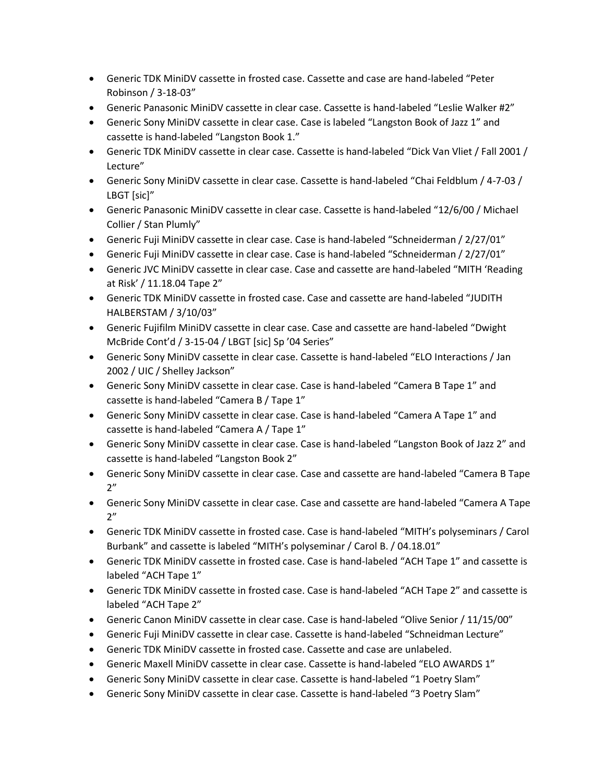- Generic TDK MiniDV cassette in frosted case. Cassette and case are hand-labeled "Peter Robinson / 3-18-03"
- Generic Panasonic MiniDV cassette in clear case. Cassette is hand-labeled "Leslie Walker #2"
- Generic Sony MiniDV cassette in clear case. Case is labeled "Langston Book of Jazz 1" and cassette is hand-labeled "Langston Book 1."
- Generic TDK MiniDV cassette in clear case. Cassette is hand-labeled "Dick Van Vliet / Fall 2001 / Lecture"
- Generic Sony MiniDV cassette in clear case. Cassette is hand-labeled "Chai Feldblum / 4-7-03 / LBGT [sic]"
- Generic Panasonic MiniDV cassette in clear case. Cassette is hand-labeled "12/6/00 / Michael Collier / Stan Plumly"
- Generic Fuji MiniDV cassette in clear case. Case is hand-labeled "Schneiderman / 2/27/01"
- Generic Fuji MiniDV cassette in clear case. Case is hand-labeled "Schneiderman / 2/27/01"
- Generic JVC MiniDV cassette in clear case. Case and cassette are hand-labeled "MITH 'Reading at Risk' / 11.18.04 Tape 2"
- Generic TDK MiniDV cassette in frosted case. Case and cassette are hand-labeled "JUDITH HALBERSTAM / 3/10/03"
- Generic Fujifilm MiniDV cassette in clear case. Case and cassette are hand-labeled "Dwight McBride Cont'd / 3-15-04 / LBGT [sic] Sp '04 Series"
- Generic Sony MiniDV cassette in clear case. Cassette is hand-labeled "ELO Interactions / Jan 2002 / UIC / Shelley Jackson"
- Generic Sony MiniDV cassette in clear case. Case is hand-labeled "Camera B Tape 1" and cassette is hand-labeled "Camera B / Tape 1"
- Generic Sony MiniDV cassette in clear case. Case is hand-labeled "Camera A Tape 1" and cassette is hand-labeled "Camera A / Tape 1"
- Generic Sony MiniDV cassette in clear case. Case is hand-labeled "Langston Book of Jazz 2" and cassette is hand-labeled "Langston Book 2"
- Generic Sony MiniDV cassette in clear case. Case and cassette are hand-labeled "Camera B Tape  $2"$
- Generic Sony MiniDV cassette in clear case. Case and cassette are hand-labeled "Camera A Tape  $2"$
- Generic TDK MiniDV cassette in frosted case. Case is hand-labeled "MITH's polyseminars / Carol Burbank" and cassette is labeled "MITH's polyseminar / Carol B. / 04.18.01"
- Generic TDK MiniDV cassette in frosted case. Case is hand-labeled "ACH Tape 1" and cassette is labeled "ACH Tape 1"
- Generic TDK MiniDV cassette in frosted case. Case is hand-labeled "ACH Tape 2" and cassette is labeled "ACH Tape 2"
- Generic Canon MiniDV cassette in clear case. Case is hand-labeled "Olive Senior / 11/15/00"
- Generic Fuji MiniDV cassette in clear case. Cassette is hand-labeled "Schneidman Lecture"
- Generic TDK MiniDV cassette in frosted case. Cassette and case are unlabeled.
- Generic Maxell MiniDV cassette in clear case. Cassette is hand-labeled "ELO AWARDS 1"
- Generic Sony MiniDV cassette in clear case. Cassette is hand-labeled "1 Poetry Slam"
- Generic Sony MiniDV cassette in clear case. Cassette is hand-labeled "3 Poetry Slam"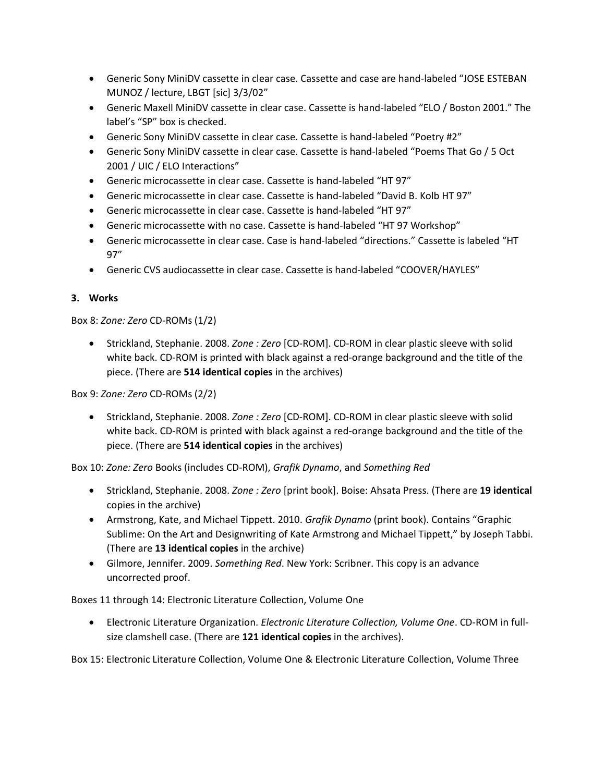- Generic Sony MiniDV cassette in clear case. Cassette and case are hand-labeled "JOSE ESTEBAN MUNOZ / lecture, LBGT [sic] 3/3/02"
- Generic Maxell MiniDV cassette in clear case. Cassette is hand-labeled "ELO / Boston 2001." The label's "SP" box is checked.
- Generic Sony MiniDV cassette in clear case. Cassette is hand-labeled "Poetry #2"
- Generic Sony MiniDV cassette in clear case. Cassette is hand-labeled "Poems That Go / 5 Oct 2001 / UIC / ELO Interactions"
- Generic microcassette in clear case. Cassette is hand-labeled "HT 97"
- Generic microcassette in clear case. Cassette is hand-labeled "David B. Kolb HT 97"
- Generic microcassette in clear case. Cassette is hand-labeled "HT 97"
- Generic microcassette with no case. Cassette is hand-labeled "HT 97 Workshop"
- Generic microcassette in clear case. Case is hand-labeled "directions." Cassette is labeled "HT 97"
- Generic CVS audiocassette in clear case. Cassette is hand-labeled "COOVER/HAYLES"

### **3. Works**

Box 8: *Zone: Zero* CD-ROMs (1/2)

• Strickland, Stephanie. 2008. *Zone : Zero* [CD-ROM]. CD-ROM in clear plastic sleeve with solid white back. CD-ROM is printed with black against a red-orange background and the title of the piece. (There are **514 identical copies** in the archives)

Box 9: *Zone: Zero* CD-ROMs (2/2)

• Strickland, Stephanie. 2008. *Zone : Zero* [CD-ROM]. CD-ROM in clear plastic sleeve with solid white back. CD-ROM is printed with black against a red-orange background and the title of the piece. (There are **514 identical copies** in the archives)

Box 10: *Zone: Zero* Books (includes CD-ROM), *Grafik Dynamo*, and *Something Red*

- Strickland, Stephanie. 2008. *Zone : Zero* [print book]. Boise: Ahsata Press. (There are **19 identical**  copies in the archive)
- Armstrong, Kate, and Michael Tippett. 2010. *Grafik Dynamo* (print book). Contains "Graphic Sublime: On the Art and Designwriting of Kate Armstrong and Michael Tippett," by Joseph Tabbi. (There are **13 identical copies** in the archive)
- Gilmore, Jennifer. 2009. *Something Red*. New York: Scribner. This copy is an advance uncorrected proof.

Boxes 11 through 14: Electronic Literature Collection, Volume One

• Electronic Literature Organization. *Electronic Literature Collection, Volume One*. CD-ROM in fullsize clamshell case. (There are **121 identical copies** in the archives).

Box 15: Electronic Literature Collection, Volume One & Electronic Literature Collection, Volume Three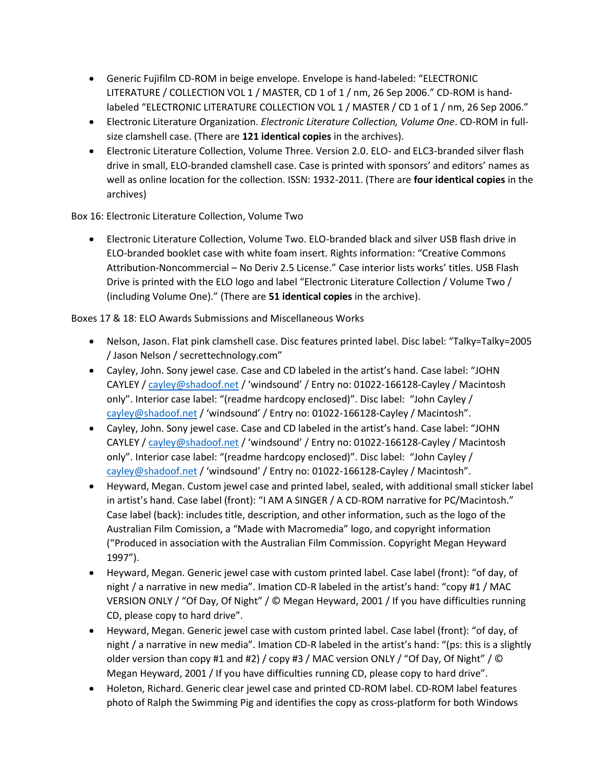- Generic Fujifilm CD-ROM in beige envelope. Envelope is hand-labeled: "ELECTRONIC LITERATURE / COLLECTION VOL 1 / MASTER, CD 1 of 1 / nm, 26 Sep 2006." CD-ROM is handlabeled "ELECTRONIC LITERATURE COLLECTION VOL 1 / MASTER / CD 1 of 1 / nm, 26 Sep 2006."
- Electronic Literature Organization. *Electronic Literature Collection, Volume One*. CD-ROM in fullsize clamshell case. (There are **121 identical copies** in the archives).
- Electronic Literature Collection, Volume Three. Version 2.0. ELO- and ELC3-branded silver flash drive in small, ELO-branded clamshell case. Case is printed with sponsors' and editors' names as well as online location for the collection. ISSN: 1932-2011. (There are **four identical copies** in the archives)

Box 16: Electronic Literature Collection, Volume Two

• Electronic Literature Collection, Volume Two. ELO-branded black and silver USB flash drive in ELO-branded booklet case with white foam insert. Rights information: "Creative Commons Attribution-Noncommercial – No Deriv 2.5 License." Case interior lists works' titles. USB Flash Drive is printed with the ELO logo and label "Electronic Literature Collection / Volume Two / (including Volume One)." (There are **51 identical copies** in the archive).

Boxes 17 & 18: ELO Awards Submissions and Miscellaneous Works

- Nelson, Jason. Flat pink clamshell case. Disc features printed label. Disc label: "Talky=Talky=2005 / Jason Nelson / secrettechnology.com"
- Cayley, John. Sony jewel case. Case and CD labeled in the artist's hand. Case label: "JOHN CAYLEY / [cayley@shadoof.net](mailto:cayley@shadoof.net) / 'windsound' / Entry no: 01022-166128-Cayley / Macintosh only". Interior case label: "(readme hardcopy enclosed)". Disc label: "John Cayley / [cayley@shadoof.net](mailto:cayley@shadoof.net) / 'windsound' / Entry no: 01022-166128-Cayley / Macintosh".
- Cayley, John. Sony jewel case. Case and CD labeled in the artist's hand. Case label: "JOHN CAYLEY / [cayley@shadoof.net](mailto:cayley@shadoof.net) / 'windsound' / Entry no: 01022-166128-Cayley / Macintosh only". Interior case label: "(readme hardcopy enclosed)". Disc label: "John Cayley / [cayley@shadoof.net](mailto:cayley@shadoof.net) / 'windsound' / Entry no: 01022-166128-Cayley / Macintosh".
- Heyward, Megan. Custom jewel case and printed label, sealed, with additional small sticker label in artist's hand. Case label (front): "I AM A SINGER / A CD-ROM narrative for PC/Macintosh." Case label (back): includes title, description, and other information, such as the logo of the Australian Film Comission, a "Made with Macromedia" logo, and copyright information ("Produced in association with the Australian Film Commission. Copyright Megan Heyward 1997").
- Heyward, Megan. Generic jewel case with custom printed label. Case label (front): "of day, of night / a narrative in new media". Imation CD-R labeled in the artist's hand: "copy #1 / MAC VERSION ONLY / "Of Day, Of Night" / © Megan Heyward, 2001 / If you have difficulties running CD, please copy to hard drive".
- Heyward, Megan. Generic jewel case with custom printed label. Case label (front): "of day, of night / a narrative in new media". Imation CD-R labeled in the artist's hand: "(ps: this is a slightly older version than copy #1 and #2) / copy #3 / MAC version ONLY / "Of Day, Of Night" / © Megan Heyward, 2001 / If you have difficulties running CD, please copy to hard drive".
- Holeton, Richard. Generic clear jewel case and printed CD-ROM label. CD-ROM label features photo of Ralph the Swimming Pig and identifies the copy as cross-platform for both Windows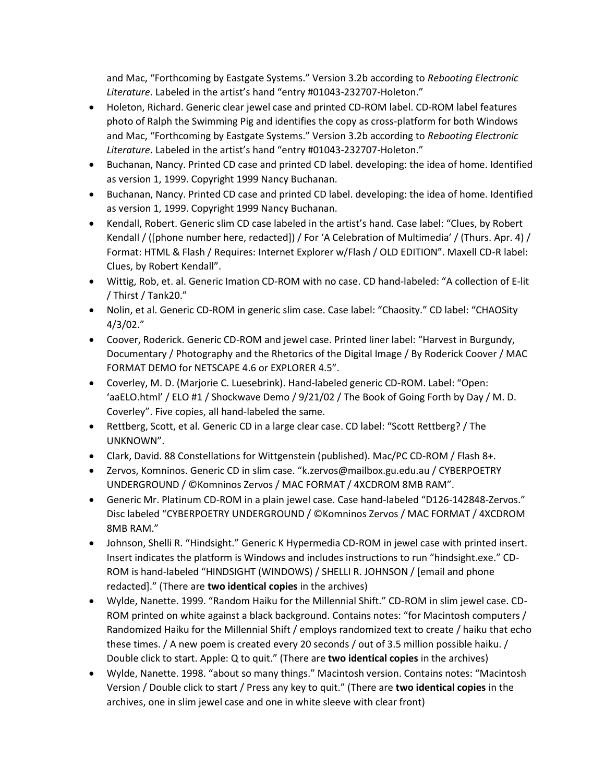and Mac, "Forthcoming by Eastgate Systems." Version 3.2b according to *Rebooting Electronic Literature*. Labeled in the artist's hand "entry #01043-232707-Holeton."

- Holeton, Richard. Generic clear jewel case and printed CD-ROM label. CD-ROM label features photo of Ralph the Swimming Pig and identifies the copy as cross-platform for both Windows and Mac, "Forthcoming by Eastgate Systems." Version 3.2b according to *Rebooting Electronic Literature*. Labeled in the artist's hand "entry #01043-232707-Holeton."
- Buchanan, Nancy. Printed CD case and printed CD label. developing: the idea of home. Identified as version 1, 1999. Copyright 1999 Nancy Buchanan.
- Buchanan, Nancy. Printed CD case and printed CD label. developing: the idea of home. Identified as version 1, 1999. Copyright 1999 Nancy Buchanan.
- Kendall, Robert. Generic slim CD case labeled in the artist's hand. Case label: "Clues, by Robert Kendall / ([phone number here, redacted]) / For 'A Celebration of Multimedia' / (Thurs. Apr. 4) / Format: HTML & Flash / Requires: Internet Explorer w/Flash / OLD EDITION". Maxell CD-R label: Clues, by Robert Kendall".
- Wittig, Rob, et. al. Generic Imation CD-ROM with no case. CD hand-labeled: "A collection of E-lit / Thirst / Tank20."
- Nolin, et al. Generic CD-ROM in generic slim case. Case label: "Chaosity." CD label: "CHAOSity 4/3/02."
- Coover, Roderick. Generic CD-ROM and jewel case. Printed liner label: "Harvest in Burgundy, Documentary / Photography and the Rhetorics of the Digital Image / By Roderick Coover / MAC FORMAT DEMO for NETSCAPE 4.6 or EXPLORER 4.5".
- Coverley, M. D. (Marjorie C. Luesebrink). Hand-labeled generic CD-ROM. Label: "Open: 'aaELO.html' / ELO #1 / Shockwave Demo / 9/21/02 / The Book of Going Forth by Day / M. D. Coverley". Five copies, all hand-labeled the same.
- Rettberg, Scott, et al. Generic CD in a large clear case. CD label: "Scott Rettberg? / The UNKNOWN".
- Clark, David. 88 Constellations for Wittgenstein (published). Mac/PC CD-ROM / Flash 8+.
- Zervos, Komninos. Generic CD in slim case. "k.zervos@mailbox.gu.edu.au / CYBERPOETRY UNDERGROUND / ©Komninos Zervos / MAC FORMAT / 4XCDROM 8MB RAM".
- Generic Mr. Platinum CD-ROM in a plain jewel case. Case hand-labeled "D126-142848-Zervos." Disc labeled "CYBERPOETRY UNDERGROUND / ©Komninos Zervos / MAC FORMAT / 4XCDROM 8MB RAM."
- Johnson, Shelli R. "Hindsight." Generic K Hypermedia CD-ROM in jewel case with printed insert. Insert indicates the platform is Windows and includes instructions to run "hindsight.exe." CD-ROM is hand-labeled "HINDSIGHT (WINDOWS) / SHELLI R. JOHNSON / [email and phone redacted]." (There are **two identical copies** in the archives)
- Wylde, Nanette. 1999. "Random Haiku for the Millennial Shift." CD-ROM in slim jewel case. CD-ROM printed on white against a black background. Contains notes: "for Macintosh computers / Randomized Haiku for the Millennial Shift / employs randomized text to create / haiku that echo these times. / A new poem is created every 20 seconds / out of 3.5 million possible haiku. / Double click to start. Apple: Q to quit." (There are **two identical copies** in the archives)
- Wylde, Nanette. 1998. "about so many things." Macintosh version. Contains notes: "Macintosh Version / Double click to start / Press any key to quit." (There are **two identical copies** in the archives, one in slim jewel case and one in white sleeve with clear front)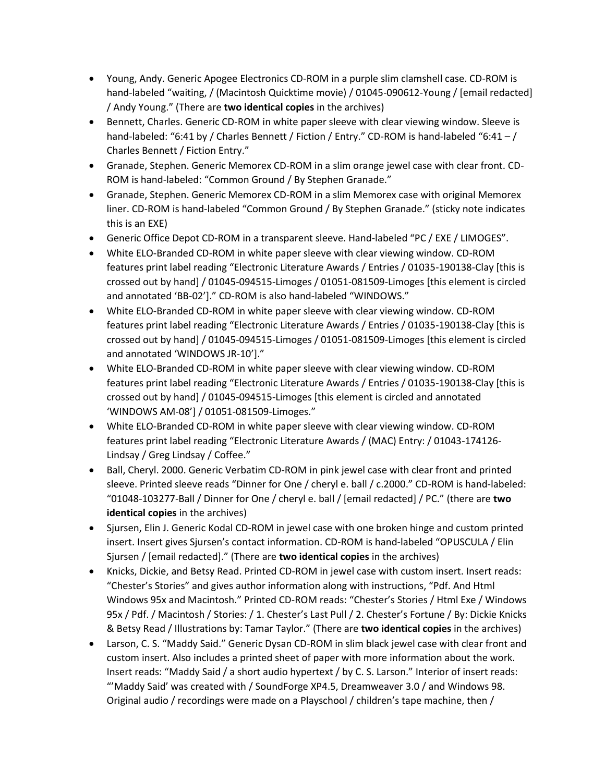- Young, Andy. Generic Apogee Electronics CD-ROM in a purple slim clamshell case. CD-ROM is hand-labeled "waiting, / (Macintosh Quicktime movie) / 01045-090612-Young / [email redacted] / Andy Young." (There are **two identical copies** in the archives)
- Bennett, Charles. Generic CD-ROM in white paper sleeve with clear viewing window. Sleeve is hand-labeled: "6:41 by / Charles Bennett / Fiction / Entry." CD-ROM is hand-labeled "6:41 - / Charles Bennett / Fiction Entry."
- Granade, Stephen. Generic Memorex CD-ROM in a slim orange jewel case with clear front. CD-ROM is hand-labeled: "Common Ground / By Stephen Granade."
- Granade, Stephen. Generic Memorex CD-ROM in a slim Memorex case with original Memorex liner. CD-ROM is hand-labeled "Common Ground / By Stephen Granade." (sticky note indicates this is an EXE)
- Generic Office Depot CD-ROM in a transparent sleeve. Hand-labeled "PC / EXE / LIMOGES".
- White ELO-Branded CD-ROM in white paper sleeve with clear viewing window. CD-ROM features print label reading "Electronic Literature Awards / Entries / 01035-190138-Clay [this is crossed out by hand] / 01045-094515-Limoges / 01051-081509-Limoges [this element is circled and annotated 'BB-02']." CD-ROM is also hand-labeled "WINDOWS."
- White ELO-Branded CD-ROM in white paper sleeve with clear viewing window. CD-ROM features print label reading "Electronic Literature Awards / Entries / 01035-190138-Clay [this is crossed out by hand] / 01045-094515-Limoges / 01051-081509-Limoges [this element is circled and annotated 'WINDOWS JR-10']."
- White ELO-Branded CD-ROM in white paper sleeve with clear viewing window. CD-ROM features print label reading "Electronic Literature Awards / Entries / 01035-190138-Clay [this is crossed out by hand] / 01045-094515-Limoges [this element is circled and annotated 'WINDOWS AM-08'] / 01051-081509-Limoges."
- White ELO-Branded CD-ROM in white paper sleeve with clear viewing window. CD-ROM features print label reading "Electronic Literature Awards / (MAC) Entry: / 01043-174126- Lindsay / Greg Lindsay / Coffee."
- Ball, Cheryl. 2000. Generic Verbatim CD-ROM in pink jewel case with clear front and printed sleeve. Printed sleeve reads "Dinner for One / cheryl e. ball / c.2000." CD-ROM is hand-labeled: "01048-103277-Ball / Dinner for One / cheryl e. ball / [email redacted] / PC." (there are **two identical copies** in the archives)
- Sjursen, Elin J. Generic Kodal CD-ROM in jewel case with one broken hinge and custom printed insert. Insert gives Sjursen's contact information. CD-ROM is hand-labeled "OPUSCULA / Elin Sjursen / [email redacted]." (There are **two identical copies** in the archives)
- Knicks, Dickie, and Betsy Read. Printed CD-ROM in jewel case with custom insert. Insert reads: "Chester's Stories" and gives author information along with instructions, "Pdf. And Html Windows 95x and Macintosh." Printed CD-ROM reads: "Chester's Stories / Html Exe / Windows 95x / Pdf. / Macintosh / Stories: / 1. Chester's Last Pull / 2. Chester's Fortune / By: Dickie Knicks & Betsy Read / Illustrations by: Tamar Taylor." (There are **two identical copies** in the archives)
- Larson, C. S. "Maddy Said." Generic Dysan CD-ROM in slim black jewel case with clear front and custom insert. Also includes a printed sheet of paper with more information about the work. Insert reads: "Maddy Said / a short audio hypertext / by C. S. Larson." Interior of insert reads: "'Maddy Said' was created with / SoundForge XP4.5, Dreamweaver 3.0 / and Windows 98. Original audio / recordings were made on a Playschool / children's tape machine, then /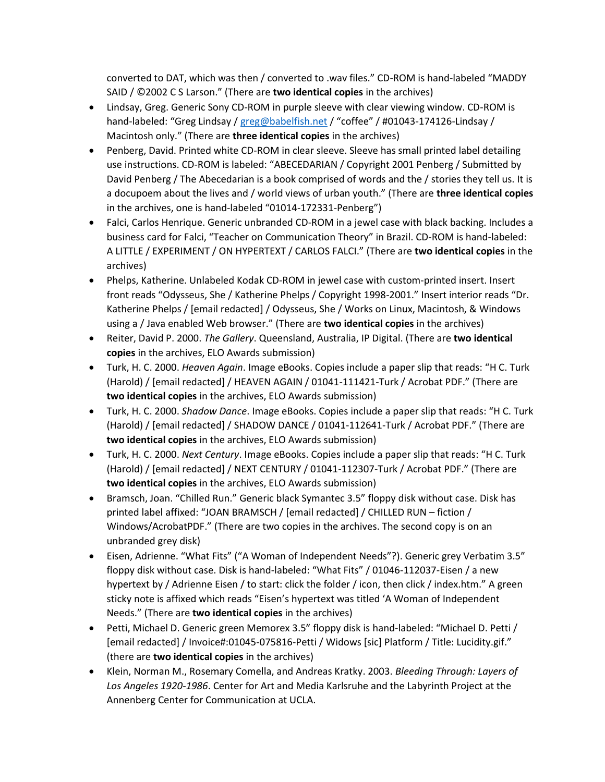converted to DAT, which was then / converted to .wav files." CD-ROM is hand-labeled "MADDY SAID / ©2002 C S Larson." (There are **two identical copies** in the archives)

- Lindsay, Greg. Generic Sony CD-ROM in purple sleeve with clear viewing window. CD-ROM is hand-labeled: "Greg Lindsay / [greg@babelfish.net](mailto:greg@babelfish.net) / "coffee" / #01043-174126-Lindsay / Macintosh only." (There are **three identical copies** in the archives)
- Penberg, David. Printed white CD-ROM in clear sleeve. Sleeve has small printed label detailing use instructions. CD-ROM is labeled: "ABECEDARIAN / Copyright 2001 Penberg / Submitted by David Penberg / The Abecedarian is a book comprised of words and the / stories they tell us. It is a docupoem about the lives and / world views of urban youth." (There are **three identical copies**  in the archives, one is hand-labeled "01014-172331-Penberg")
- Falci, Carlos Henrique. Generic unbranded CD-ROM in a jewel case with black backing. Includes a business card for Falci, "Teacher on Communication Theory" in Brazil. CD-ROM is hand-labeled: A LITTLE / EXPERIMENT / ON HYPERTEXT / CARLOS FALCI." (There are **two identical copies** in the archives)
- Phelps, Katherine. Unlabeled Kodak CD-ROM in jewel case with custom-printed insert. Insert front reads "Odysseus, She / Katherine Phelps / Copyright 1998-2001." Insert interior reads "Dr. Katherine Phelps / [email redacted] / Odysseus, She / Works on Linux, Macintosh, & Windows using a / Java enabled Web browser." (There are **two identical copies** in the archives)
- Reiter, David P. 2000. *The Gallery*. Queensland, Australia, IP Digital. (There are **two identical copies** in the archives, ELO Awards submission)
- Turk, H. C. 2000. *Heaven Again*. Image eBooks. Copies include a paper slip that reads: "H C. Turk (Harold) / [email redacted] / HEAVEN AGAIN / 01041-111421-Turk / Acrobat PDF." (There are **two identical copies** in the archives, ELO Awards submission)
- Turk, H. C. 2000. *Shadow Dance*. Image eBooks. Copies include a paper slip that reads: "H C. Turk (Harold) / [email redacted] / SHADOW DANCE / 01041-112641-Turk / Acrobat PDF." (There are **two identical copies** in the archives, ELO Awards submission)
- Turk, H. C. 2000. *Next Century*. Image eBooks. Copies include a paper slip that reads: "H C. Turk (Harold) / [email redacted] / NEXT CENTURY / 01041-112307-Turk / Acrobat PDF." (There are **two identical copies** in the archives, ELO Awards submission)
- Bramsch, Joan. "Chilled Run." Generic black Symantec 3.5" floppy disk without case. Disk has printed label affixed: "JOAN BRAMSCH / [email redacted] / CHILLED RUN – fiction / Windows/AcrobatPDF." (There are two copies in the archives. The second copy is on an unbranded grey disk)
- Eisen, Adrienne. "What Fits" ("A Woman of Independent Needs"?). Generic grey Verbatim 3.5" floppy disk without case. Disk is hand-labeled: "What Fits" / 01046-112037-Eisen / a new hypertext by / Adrienne Eisen / to start: click the folder / icon, then click / index.htm." A green sticky note is affixed which reads "Eisen's hypertext was titled 'A Woman of Independent Needs." (There are **two identical copies** in the archives)
- Petti, Michael D. Generic green Memorex 3.5" floppy disk is hand-labeled: "Michael D. Petti / [email redacted] / Invoice#:01045-075816-Petti / Widows [sic] Platform / Title: Lucidity.gif." (there are **two identical copies** in the archives)
- Klein, Norman M., Rosemary Comella, and Andreas Kratky. 2003. *Bleeding Through: Layers of Los Angeles 1920-1986*. Center for Art and Media Karlsruhe and the Labyrinth Project at the Annenberg Center for Communication at UCLA.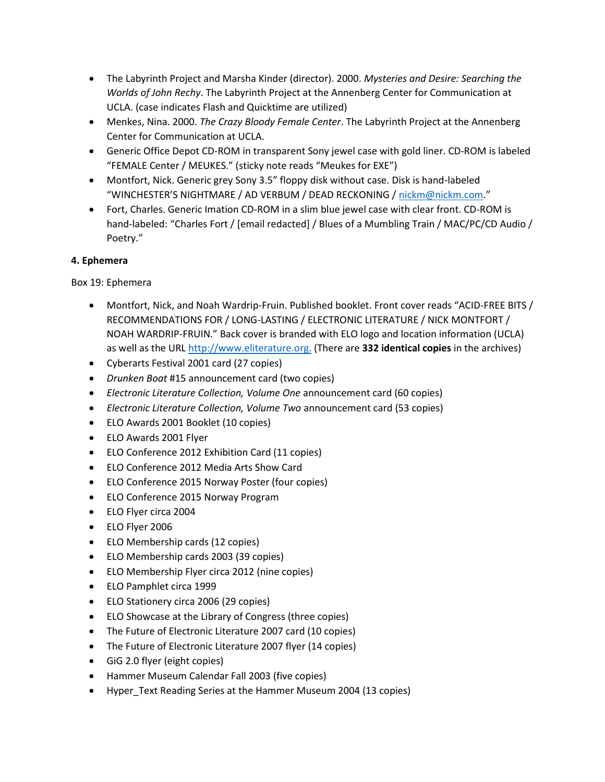- The Labyrinth Project and Marsha Kinder (director). 2000. *Mysteries and Desire: Searching the Worlds of John Rechy*. The Labyrinth Project at the Annenberg Center for Communication at UCLA. (case indicates Flash and Quicktime are utilized)
- Menkes, Nina. 2000. *The Crazy Bloody Female Center*. The Labyrinth Project at the Annenberg Center for Communication at UCLA.
- Generic Office Depot CD-ROM in transparent Sony jewel case with gold liner. CD-ROM is labeled "FEMALE Center / MEUKES." (sticky note reads "Meukes for EXE")
- Montfort, Nick. Generic grey Sony 3.5" floppy disk without case. Disk is hand-labeled "WINCHESTER'S NIGHTMARE / AD VERBUM / DEAD RECKONING [/ nickm@nickm.com](mailto:nickm@nickm.com)."
- Fort, Charles. Generic Imation CD-ROM in a slim blue jewel case with clear front. CD-ROM is hand-labeled: "Charles Fort / [email redacted] / Blues of a Mumbling Train / MAC/PC/CD Audio / Poetry."

## **4. Ephemera**

Box 19: Ephemera

- Montfort, Nick, and Noah Wardrip-Fruin. Published booklet. Front cover reads "ACID-FREE BITS / RECOMMENDATIONS FOR / LONG-LASTING / ELECTRONIC LITERATURE / NICK MONTFORT / NOAH WARDRIP-FRUIN." Back cover is branded with ELO logo and location information (UCLA) as well as the UR[L http://www.eliterature.org.](http://www.eliterature.org./) (There are **332 identical copies** in the archives)
- Cyberarts Festival 2001 card (27 copies)
- *Drunken Boat* #15 announcement card (two copies)
- *Electronic Literature Collection, Volume One* announcement card (60 copies)
- *Electronic Literature Collection, Volume Two* announcement card (53 copies)
- ELO Awards 2001 Booklet (10 copies)
- ELO Awards 2001 Flyer
- ELO Conference 2012 Exhibition Card (11 copies)
- ELO Conference 2012 Media Arts Show Card
- ELO Conference 2015 Norway Poster (four copies)
- ELO Conference 2015 Norway Program
- ELO Flyer circa 2004
- ELO Flyer 2006
- ELO Membership cards (12 copies)
- ELO Membership cards 2003 (39 copies)
- ELO Membership Flyer circa 2012 (nine copies)
- ELO Pamphlet circa 1999
- ELO Stationery circa 2006 (29 copies)
- ELO Showcase at the Library of Congress (three copies)
- The Future of Electronic Literature 2007 card (10 copies)
- The Future of Electronic Literature 2007 flyer (14 copies)
- GiG 2.0 flyer (eight copies)
- Hammer Museum Calendar Fall 2003 (five copies)
- Hyper Text Reading Series at the Hammer Museum 2004 (13 copies)